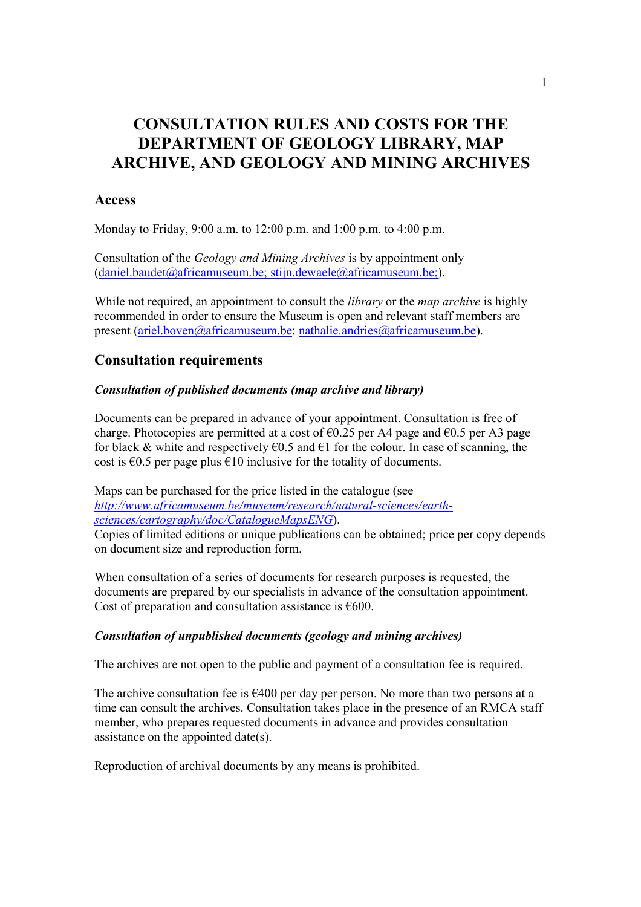# CONSULTATION RULES AND COSTS FOR THE DEPARTMENT OF GEOLOGY LIBRARY, MAP ARCHIVE, AND GEOLOGY AND MINING ARCHIVES

## Access

Monday to Friday, 9:00 a.m. to 12:00 p.m. and 1:00 p.m. to 4:00 p.m.

Consultation of the Geology and Mining Archives is by appointment only (daniel.baudet@africamuseum.be; stijn.dewaele@africamuseum.be;).

While not required, an appointment to consult the *library* or the *map archive* is highly recommended in order to ensure the Museum is open and relevant staff members are present (ariel.boven@africamuseum.be; nathalie.andries@africamuseum.be).

## Consultation requirements

## Consultation of published documents (map archive and library)

Documents can be prepared in advance of your appointment. Consultation is free of charge. Photocopies are permitted at a cost of  $\epsilon$ 0.25 per A4 page and  $\epsilon$ 0.5 per A3 page for black & white and respectively  $\epsilon$ 0.5 and  $\epsilon$ 1 for the colour. In case of scanning, the cost is  $\epsilon$ 0.5 per page plus  $\epsilon$ 10 inclusive for the totality of documents.

Maps can be purchased for the price listed in the catalogue (see http://www.africamuseum.be/museum/research/natural-sciences/earthsciences/cartography/doc/CatalogueMapsENG).

Copies of limited editions or unique publications can be obtained; price per copy depends on document size and reproduction form.

When consultation of a series of documents for research purposes is requested, the documents are prepared by our specialists in advance of the consultation appointment. Cost of preparation and consultation assistance is  $\epsilon$ 600.

### Consultation of unpublished documents (geology and mining archives)

The archives are not open to the public and payment of a consultation fee is required.

The archive consultation fee is  $\epsilon$ 400 per day per person. No more than two persons at a time can consult the archives. Consultation takes place in the presence of an RMCA staff member, who prepares requested documents in advance and provides consultation assistance on the appointed date(s).

Reproduction of archival documents by any means is prohibited.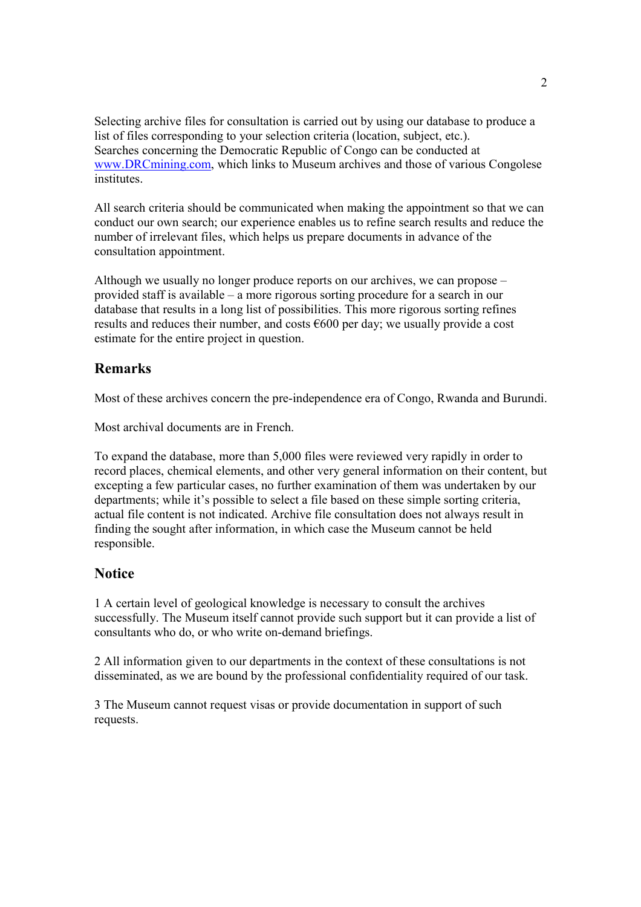Selecting archive files for consultation is carried out by using our database to produce a list of files corresponding to your selection criteria (location, subject, etc.). Searches concerning the Democratic Republic of Congo can be conducted at www.DRCmining.com, which links to Museum archives and those of various Congolese *institutes* 

All search criteria should be communicated when making the appointment so that we can conduct our own search; our experience enables us to refine search results and reduce the number of irrelevant files, which helps us prepare documents in advance of the consultation appointment.

Although we usually no longer produce reports on our archives, we can propose – provided staff is available – a more rigorous sorting procedure for a search in our database that results in a long list of possibilities. This more rigorous sorting refines results and reduces their number, and costs €600 per day; we usually provide a cost estimate for the entire project in question.

## Remarks

Most of these archives concern the pre-independence era of Congo, Rwanda and Burundi.

Most archival documents are in French.

To expand the database, more than 5,000 files were reviewed very rapidly in order to record places, chemical elements, and other very general information on their content, but excepting a few particular cases, no further examination of them was undertaken by our departments; while it's possible to select a file based on these simple sorting criteria, actual file content is not indicated. Archive file consultation does not always result in finding the sought after information, in which case the Museum cannot be held responsible.

## **Notice**

1 A certain level of geological knowledge is necessary to consult the archives successfully. The Museum itself cannot provide such support but it can provide a list of consultants who do, or who write on-demand briefings.

2 All information given to our departments in the context of these consultations is not disseminated, as we are bound by the professional confidentiality required of our task.

3 The Museum cannot request visas or provide documentation in support of such requests.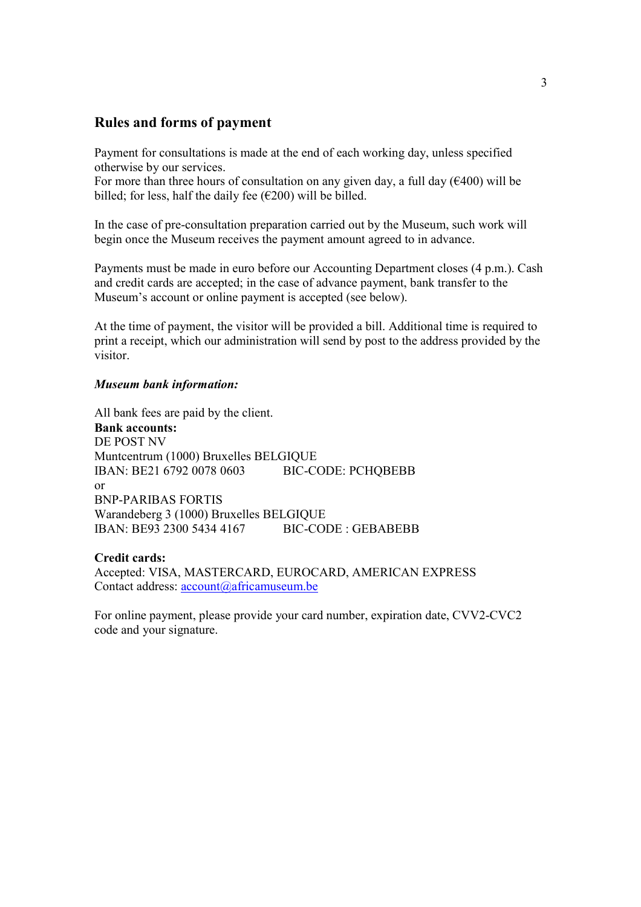### Rules and forms of payment

Payment for consultations is made at the end of each working day, unless specified otherwise by our services.

For more than three hours of consultation on any given day, a full day ( $\epsilon$ 400) will be billed; for less, half the daily fee  $(\epsilon 200)$  will be billed.

In the case of pre-consultation preparation carried out by the Museum, such work will begin once the Museum receives the payment amount agreed to in advance.

Payments must be made in euro before our Accounting Department closes (4 p.m.). Cash and credit cards are accepted; in the case of advance payment, bank transfer to the Museum's account or online payment is accepted (see below).

At the time of payment, the visitor will be provided a bill. Additional time is required to print a receipt, which our administration will send by post to the address provided by the visitor.

#### Museum bank information:

All bank fees are paid by the client.

Bank accounts: DE POST NV Muntcentrum (1000) Bruxelles BELGIQUE IBAN: BE21 6792 0078 0603 BIC-CODE: PCHQBEBB or BNP-PARIBAS FORTIS Warandeberg 3 (1000) Bruxelles BELGIQUE IBAN: BE93 2300 5434 4167 BIC-CODE : GEBABEBB

#### Credit cards:

Accepted: VISA, MASTERCARD, EUROCARD, AMERICAN EXPRESS Contact address: account@africamuseum.be

For online payment, please provide your card number, expiration date, CVV2-CVC2 code and your signature.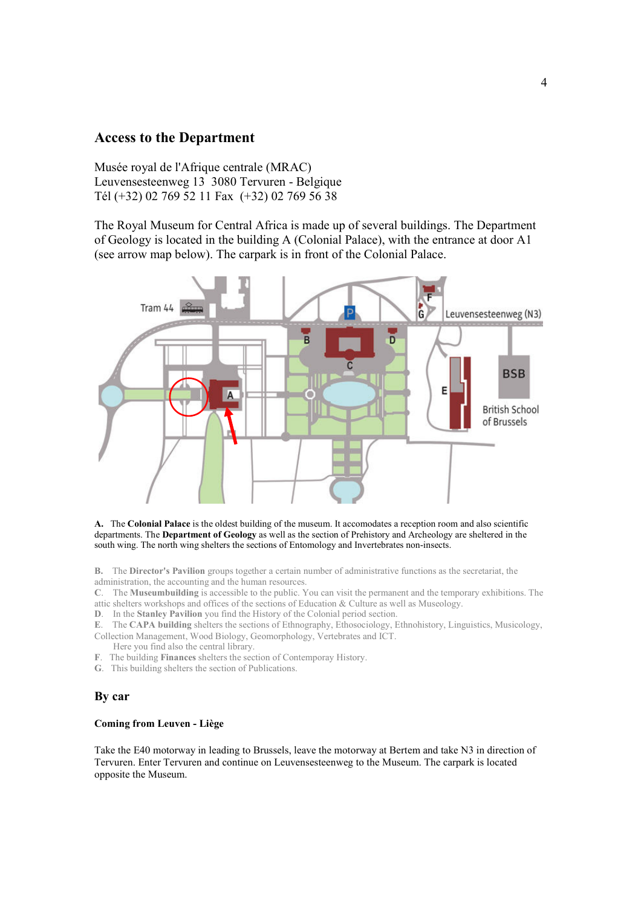### Access to the Department

Musée royal de l'Afrique centrale (MRAC) Leuvensesteenweg 13 3080 Tervuren - Belgique Tél (+32) 02 769 52 11 Fax (+32) 02 769 56 38

The Royal Museum for Central Africa is made up of several buildings. The Department of Geology is located in the building A (Colonial Palace), with the entrance at door A1 (see arrow map below). The carpark is in front of the Colonial Palace.



A. The Colonial Palace is the oldest building of the museum. It accomodates a reception room and also scientific departments. The Department of Geology as well as the section of Prehistory and Archeology are sheltered in the south wing. The north wing shelters the sections of Entomology and Invertebrates non-insects.

B. The Director's Pavilion groups together a certain number of administrative functions as the secretariat, the administration, the accounting and the human resources.

C. The Museumbuilding is accessible to the public. You can visit the permanent and the temporary exhibitions. The attic shelters workshops and offices of the sections of Education  $\&$  Culture as well as Museology.

D. In the Stanley Pavilion you find the History of the Colonial period section.

E. The CAPA building shelters the sections of Ethnography, Ethosociology, Ethnohistory, Linguistics, Musicology, Collection Management, Wood Biology, Geomorphology, Vertebrates and ICT.

- Here you find also the central library.
- F. The building Finances shelters the section of Contemporay History.
- G. This building shelters the section of Publications.

#### By car

#### Coming from Leuven - Liège

Take the E40 motorway in leading to Brussels, leave the motorway at Bertem and take N3 in direction of Tervuren. Enter Tervuren and continue on Leuvensesteenweg to the Museum. The carpark is located opposite the Museum.